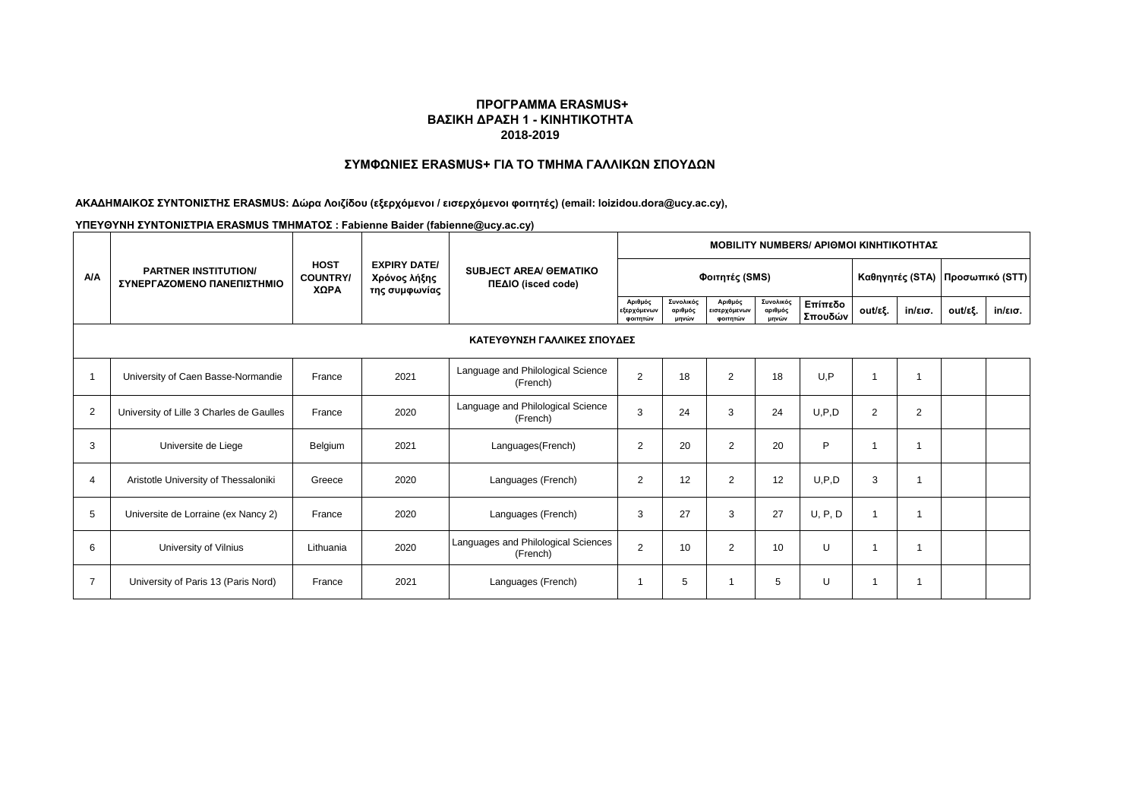# **ΣΥΜΦΩΝΙΕΣ ERASMUS+ ΓΙΑ ΤΟ ΤΜΗΜΑ ΓΑΛΛΙΚΩΝ ΣΠΟΥΔΩΝ**

### **ΑΚΑΔΗΜΑΙΚΟΣ ΣΥΝΤΟΝΙΣΤΗΣ ERASMUS: Δώρα Λοιζίδου (εξερχόμενοι / εισερχόμενοι φοιτητές) (email: loizidou.dora@ucy.ac.cy),**

|                | <b>PARTNER INSTITUTION/</b><br>ΣΥΝΕΡΓΑΖΟΜΕΝΟ ΠΑΝΕΠΙΣΤΗΜΙΟ |                                        |                                                      | <b>SUBJECT AREA/ OEMATIKO</b><br>ΠΕΔΙΟ (isced code) | <b>MOBILITY NUMBERS/ APIOMOI KINHTIKOTHTAZ</b> |                               |                                     |                               |                                  |         |                   |         |                   |  |  |
|----------------|-----------------------------------------------------------|----------------------------------------|------------------------------------------------------|-----------------------------------------------------|------------------------------------------------|-------------------------------|-------------------------------------|-------------------------------|----------------------------------|---------|-------------------|---------|-------------------|--|--|
| <b>A/A</b>     |                                                           | <b>HOST</b><br><b>COUNTRY/</b><br>ΧΩΡΑ | <b>EXPIRY DATE/</b><br>Χρόνος λήξης<br>της συμφωνίας |                                                     |                                                | Φοιτητές (SMS)                |                                     |                               | Καθηγητές (STA)  Προσωπικό (STT) |         |                   |         |                   |  |  |
|                |                                                           |                                        |                                                      |                                                     | Αριθμός<br>εξερχόμενων<br>φοιτητών             | Συνολικός<br>αριθμός<br>μηνών | Αριθμός<br>εισερχόμενων<br>φοιτητών | Συνολικός<br>αριθμός<br>μηνών | Επίπεδο<br>Σπουδών               | out/εξ. | $in/\epsilon$ ισ. | out/εξ. | $in/\epsilon$ ισ. |  |  |
|                | ΚΑΤΕΥΘΥΝΣΗ ΓΑΛΛΙΚΕΣ ΣΠΟΥΔΕΣ                               |                                        |                                                      |                                                     |                                                |                               |                                     |                               |                                  |         |                   |         |                   |  |  |
|                | University of Caen Basse-Normandie                        | France                                 | 2021                                                 | Language and Philological Science<br>(French)       | $\overline{2}$                                 | 18                            | $\overline{2}$                      | 18                            | U.P                              | 1       | $\overline{1}$    |         |                   |  |  |
| $\overline{2}$ | University of Lille 3 Charles de Gaulles                  | France                                 | 2020                                                 | Language and Philological Science<br>(French)       | 3                                              | 24                            | 3                                   | 24                            | U, P, D                          | 2       | 2                 |         |                   |  |  |
| 3              | Universite de Liege                                       | Belgium                                | 2021                                                 | Languages(French)                                   | 2                                              | 20                            | $\overline{2}$                      | 20                            | P                                | 1       | 1                 |         |                   |  |  |
| $\overline{4}$ | Aristotle University of Thessaloniki                      | Greece                                 | 2020                                                 | Languages (French)                                  | 2                                              | 12                            | $\overline{2}$                      | 12                            | U, P, D                          | 3       |                   |         |                   |  |  |
| 5              | Universite de Lorraine (ex Nancy 2)                       | France                                 | 2020                                                 | Languages (French)                                  | 3                                              | 27                            | 3                                   | 27                            | U, P, D                          | -1      |                   |         |                   |  |  |
| 6              | University of Vilnius                                     | Lithuania                              | 2020                                                 | Languages and Philological Sciences<br>(French)     | $\mathbf{2}$                                   | 10                            | $\overline{2}$                      | 10                            | U                                | -1      |                   |         |                   |  |  |
|                | University of Paris 13 (Paris Nord)                       | France                                 | 2021                                                 | Languages (French)                                  |                                                | 5                             |                                     | 5                             | U                                | -1      |                   |         |                   |  |  |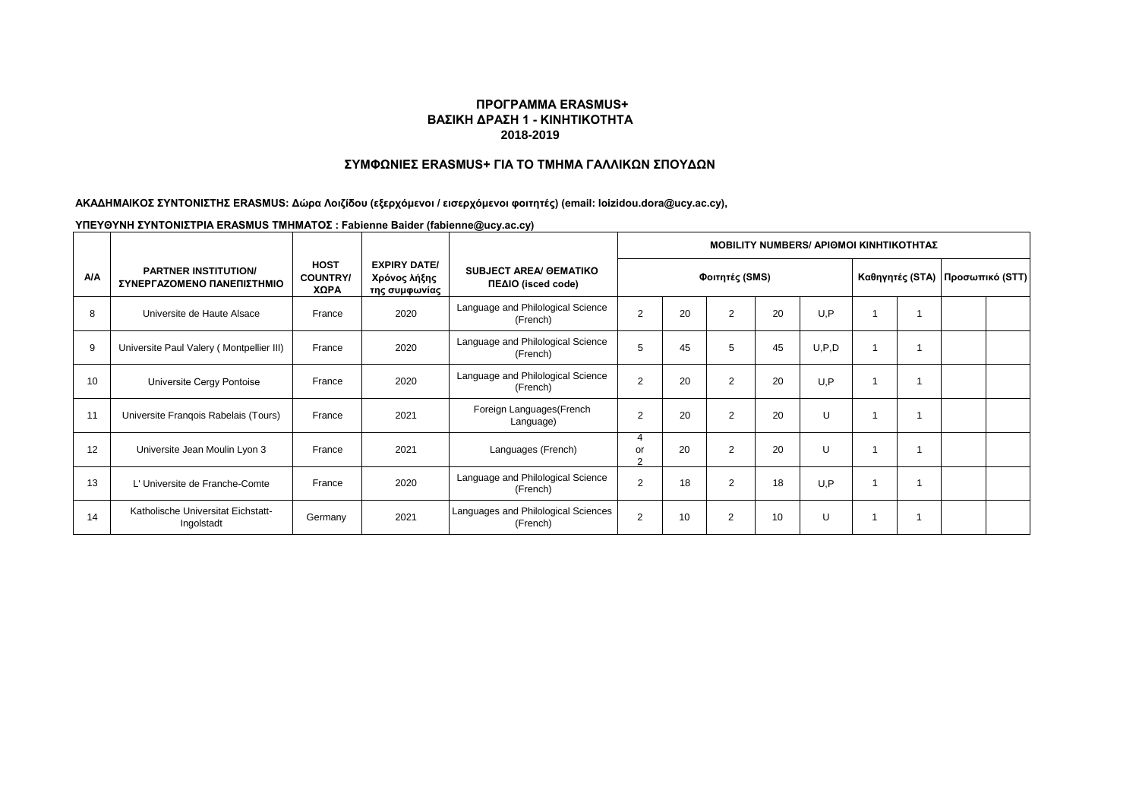# **ΣΥΜΦΩΝΙΕΣ ERASMUS+ ΓΙΑ ΤΟ ΤΜΗΜΑ ΓΑΛΛΙΚΩΝ ΣΠΟΥΔΩΝ**

### **ΑΚΑΔΗΜΑΙΚΟΣ ΣΥΝΤΟΝΙΣΤΗΣ ERASMUS: Δώρα Λοιζίδου (εξερχόμενοι / εισερχόμενοι φοιτητές) (email: loizidou.dora@ucy.ac.cy),**

|            |                                                           |                                        |                                                      |                                                     | <b>ΜΟΒΙLITY NUMBERS/ ΑΡΙΘΜΟΙ ΚΙΝΗΤΙΚΟΤΗΤΑΣ</b> |    |                |    |       |  |  |                                   |  |  |
|------------|-----------------------------------------------------------|----------------------------------------|------------------------------------------------------|-----------------------------------------------------|------------------------------------------------|----|----------------|----|-------|--|--|-----------------------------------|--|--|
| <b>A/A</b> | <b>PARTNER INSTITUTION/</b><br>ΣΥΝΕΡΓΑΖΟΜΕΝΟ ΠΑΝΕΠΙΣΤΗΜΙΟ | <b>HOST</b><br><b>COUNTRY/</b><br>XΩPA | <b>EXPIRY DATE/</b><br>Χρόνος λήξης<br>της συμφωνίας | <b>SUBJECT AREA/ OEMATIKO</b><br>ΠΕΔΙΟ (isced code) | Φοιτητές (SMS)                                 |    |                |    |       |  |  | Καθηγητές (STA)   Προσωπικό (STT) |  |  |
| 8          | Universite de Haute Alsace                                | France                                 | 2020                                                 | Language and Philological Science<br>(French)       | $\overline{2}$                                 | 20 | $\overline{2}$ | 20 | U.P   |  |  |                                   |  |  |
| 9          | Universite Paul Valery (Montpellier III)                  | France                                 | 2020                                                 | Language and Philological Science<br>(French)       | 5                                              | 45 | 5              | 45 | U.P.D |  |  |                                   |  |  |
| 10         | Universite Cergy Pontoise                                 | France                                 | 2020                                                 | Language and Philological Science<br>(French)       | $\overline{2}$                                 | 20 | 2              | 20 | U.P   |  |  |                                   |  |  |
| 11         | Universite Frangois Rabelais (Tours)                      | France                                 | 2021                                                 | Foreign Languages (French<br>Language)              | $\overline{2}$                                 | 20 | $\overline{2}$ | 20 | U     |  |  |                                   |  |  |
| 12         | Universite Jean Moulin Lyon 3                             | France                                 | 2021                                                 | Languages (French)                                  | 4<br>or<br>◠                                   | 20 | 2              | 20 | U     |  |  |                                   |  |  |
| 13         | L'Universite de Franche-Comte                             | France                                 | 2020                                                 | Language and Philological Science<br>(French)       | $\overline{2}$                                 | 18 | 2              | 18 | U.P   |  |  |                                   |  |  |
| 14         | Katholische Universitat Eichstatt-<br>Ingolstadt          | Germany                                | 2021                                                 | Languages and Philological Sciences<br>(French)     | 2                                              | 10 | 2              | 10 | U     |  |  |                                   |  |  |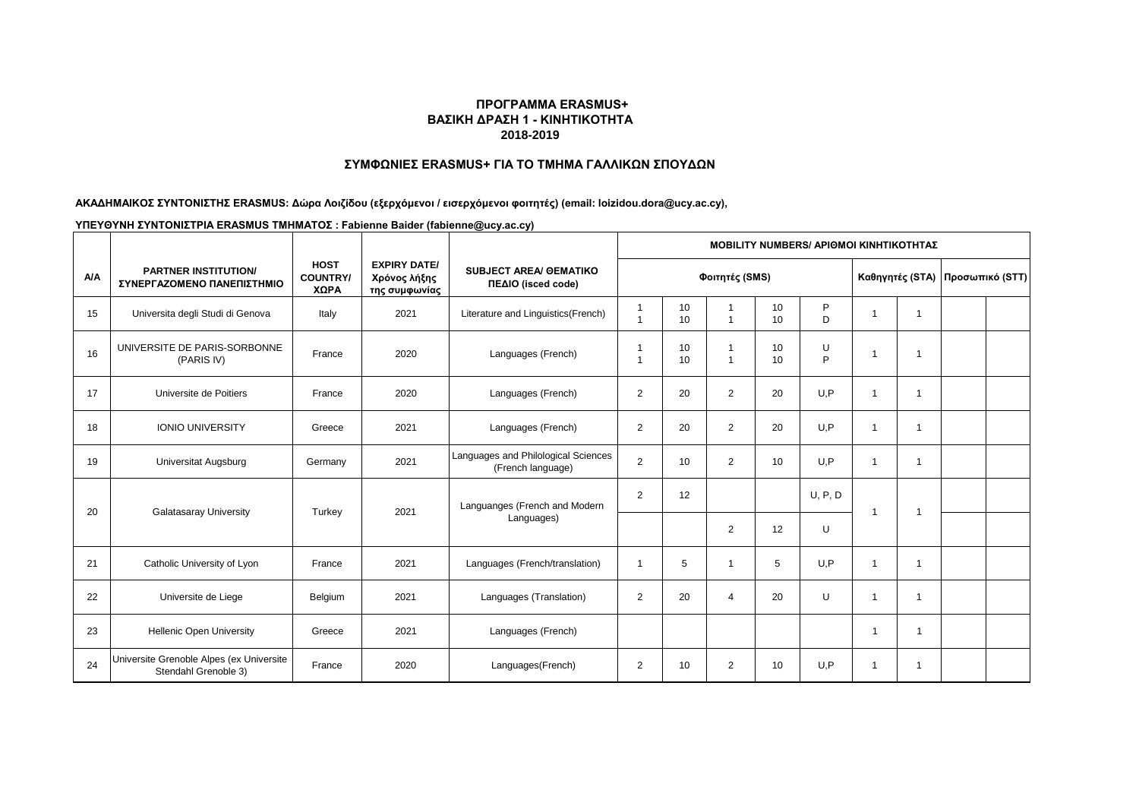# **ΣΥΜΦΩΝΙΕΣ ERASMUS+ ΓΙΑ ΤΟ ΤΜΗΜΑ ΓΑΛΛΙΚΩΝ ΣΠΟΥΔΩΝ**

**ΑΚΑΔΗΜΑΙΚΟΣ ΣΥΝΤΟΝΙΣΤΗΣ ERASMUS: Δώρα Λοιζίδου (εξερχόμενοι / εισερχόμενοι φοιτητές) (email: loizidou.dora@ucy.ac.cy),** 

|            |                                                                  |                                        |                                                      |                                                          | <b>MOBILITY NUMBERS/ APIOMOI KINHTIKOTHTAZ</b> |          |                               |          |         |                         |                         |                                 |  |  |
|------------|------------------------------------------------------------------|----------------------------------------|------------------------------------------------------|----------------------------------------------------------|------------------------------------------------|----------|-------------------------------|----------|---------|-------------------------|-------------------------|---------------------------------|--|--|
| <b>A/A</b> | <b>PARTNER INSTITUTION/</b><br>ΣΥΝΕΡΓΑΖΟΜΕΝΟ ΠΑΝΕΠΙΣΤΗΜΙΟ        | <b>HOST</b><br><b>COUNTRY/</b><br>ΧΩΡΑ | <b>EXPIRY DATE/</b><br>Χρόνος λήξης<br>της συμφωνίας | <b>SUBJECT AREA/ GEMATIKO</b><br>ΠΕΔΙΟ (isced code)      | Φοιτητές (SMS)                                 |          |                               |          |         |                         |                         | Καθηγητές (STA) Προσωπικό (STT) |  |  |
| 15         | Universita degli Studi di Genova                                 | Italy                                  | 2021                                                 | Literature and Linguistics(French)                       | 1                                              | 10<br>10 | $\mathbf 1$                   | 10<br>10 | P<br>D  | $\overline{\mathbf{1}}$ |                         |                                 |  |  |
| 16         | UNIVERSITE DE PARIS-SORBONNE<br>(PARIS IV)                       | France                                 | 2020                                                 | Languages (French)                                       | 1<br>$\overline{\mathbf{1}}$                   | 10<br>10 | $\mathbf 1$<br>$\overline{1}$ | 10<br>10 | U<br>P  | $\overline{\mathbf{1}}$ | -1                      |                                 |  |  |
| 17         | Universite de Poitiers                                           | France                                 | 2020                                                 | Languages (French)                                       | 2                                              | 20       | $\overline{2}$                | 20       | U,P     | $\overline{1}$          |                         |                                 |  |  |
| 18         | <b>IONIO UNIVERSITY</b>                                          | Greece                                 | 2021                                                 | Languages (French)                                       | 2                                              | 20       | $\overline{2}$                | 20       | U,P     | $\overline{\mathbf{1}}$ |                         |                                 |  |  |
| 19         | <b>Universitat Augsburg</b>                                      | Germany                                | 2021                                                 | Languages and Philological Sciences<br>(French language) | 2                                              | 10       | $\overline{2}$                | 10       | U.P     | $\overline{\mathbf{1}}$ | $\overline{\mathbf{1}}$ |                                 |  |  |
| 20         | <b>Galatasaray University</b>                                    | Turkey                                 | 2021                                                 | Languanges (French and Modern<br>Languages)              | $\overline{2}$                                 | 12       |                               |          | U, P, D | -1                      |                         |                                 |  |  |
|            |                                                                  |                                        |                                                      |                                                          |                                                |          | 2                             | 12       | U       |                         |                         |                                 |  |  |
| 21         | Catholic University of Lyon                                      | France                                 | 2021                                                 | Languages (French/translation)                           | $\overline{1}$                                 | 5        | -1                            | 5        | U.P     | $\overline{\mathbf{1}}$ | -1                      |                                 |  |  |
| 22         | Universite de Liege                                              | Belgium                                | 2021                                                 | Languages (Translation)                                  | 2                                              | 20       | $\overline{4}$                | 20       | U       | $\overline{1}$          | -1                      |                                 |  |  |
| 23         | <b>Hellenic Open University</b>                                  | Greece                                 | 2021                                                 | Languages (French)                                       |                                                |          |                               |          |         | -1                      |                         |                                 |  |  |
| 24         | Universite Grenoble Alpes (ex Universite<br>Stendahl Grenoble 3) | France                                 | 2020                                                 | Languages(French)                                        | 2                                              | 10       | $\overline{2}$                | 10       | U.P     | $\overline{\mathbf{1}}$ |                         |                                 |  |  |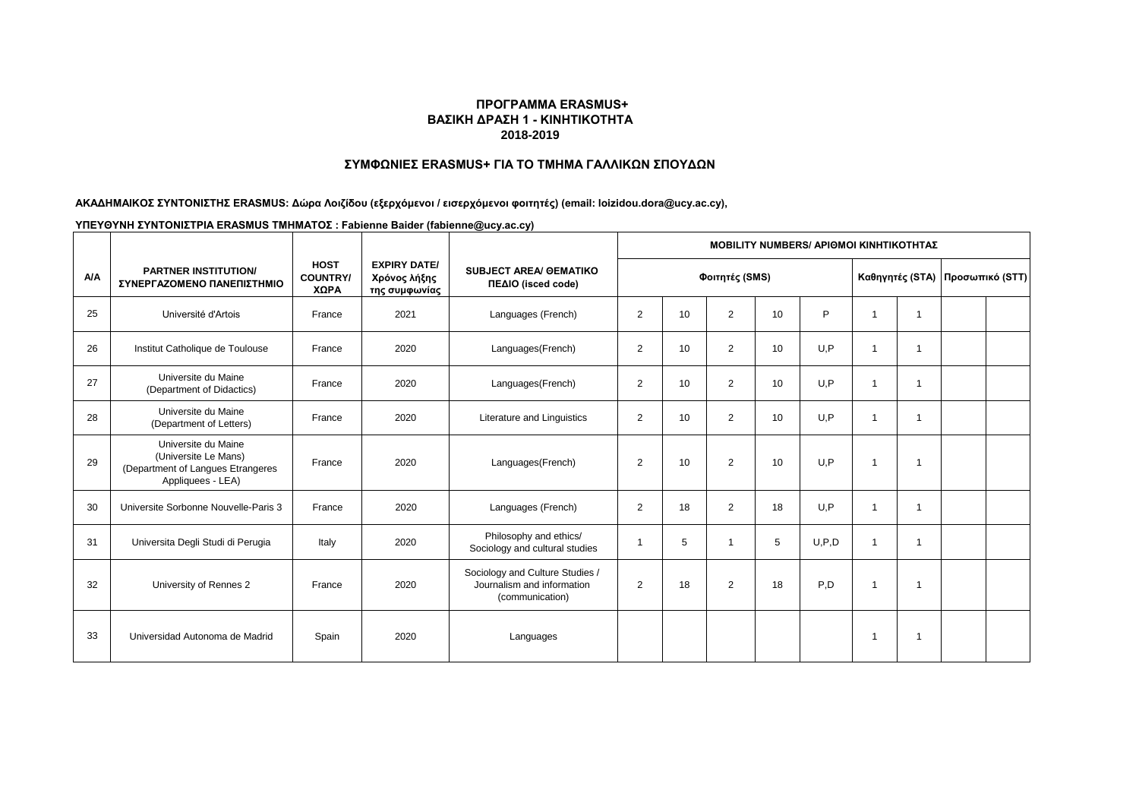# **ΣΥΜΦΩΝΙΕΣ ERASMUS+ ΓΙΑ ΤΟ ΤΜΗΜΑ ΓΑΛΛΙΚΩΝ ΣΠΟΥΔΩΝ**

### **ΑΚΑΔΗΜΑΙΚΟΣ ΣΥΝΤΟΝΙΣΤΗΣ ERASMUS: Δώρα Λοιζίδου (εξερχόμενοι / εισερχόμενοι φοιτητές) (email: loizidou.dora@ucy.ac.cy),**

|            |                                                                                                       |                                        |                                                      |                                                                                  | <b>MOBILITY NUMBERS/ APIOMOI KINHTIKOTHTAZ</b> |    |                |    |       |    |   |                                 |  |
|------------|-------------------------------------------------------------------------------------------------------|----------------------------------------|------------------------------------------------------|----------------------------------------------------------------------------------|------------------------------------------------|----|----------------|----|-------|----|---|---------------------------------|--|
| <b>A/A</b> | <b>PARTNER INSTITUTION/</b><br>ΣΥΝΕΡΓΑΖΟΜΕΝΟ ΠΑΝΕΠΙΣΤΗΜΙΟ                                             | <b>HOST</b><br><b>COUNTRY/</b><br>ΧΩΡΑ | <b>EXPIRY DATE/</b><br>Χρόνος λήξης<br>της συμφωνίας | <b>SUBJECT AREA/ GEMATIKO</b><br>ΠΕΔΙΟ (isced code)                              |                                                |    | Φοιτητές (SMS) |    |       |    |   | Καθηγητές (STA) Προσωπικό (STT) |  |
| 25         | Université d'Artois                                                                                   | France                                 | 2021                                                 | Languages (French)                                                               | 2                                              | 10 | 2              | 10 | P     |    | 1 |                                 |  |
| 26         | Institut Catholique de Toulouse                                                                       | France                                 | 2020                                                 | Languages(French)                                                                | $\overline{2}$                                 | 10 | 2              | 10 | U.P   |    | f |                                 |  |
| 27         | Universite du Maine<br>(Department of Didactics)                                                      | France                                 | 2020                                                 | Languages(French)                                                                | 2                                              | 10 | $\overline{2}$ | 10 | U,P   | -1 | f |                                 |  |
| 28         | Universite du Maine<br>(Department of Letters)                                                        | France                                 | 2020                                                 | Literature and Linguistics                                                       | 2                                              | 10 | $\overline{2}$ | 10 | U, P  | -1 | 1 |                                 |  |
| 29         | Universite du Maine<br>(Universite Le Mans)<br>(Department of Langues Etrangeres<br>Appliquees - LEA) | France                                 | 2020                                                 | Languages(French)                                                                | 2                                              | 10 | $\overline{2}$ | 10 | U, P  | -1 | f |                                 |  |
| 30         | Universite Sorbonne Nouvelle-Paris 3                                                                  | France                                 | 2020                                                 | Languages (French)                                                               | 2                                              | 18 | 2              | 18 | U.P   | -1 | 1 |                                 |  |
| 31         | Universita Degli Studi di Perugia                                                                     | Italy                                  | 2020                                                 | Philosophy and ethics/<br>Sociology and cultural studies                         | 1                                              | 5  | $\overline{1}$ | 5  | U.P.D | -1 | f |                                 |  |
| 32         | University of Rennes 2                                                                                | France                                 | 2020                                                 | Sociology and Culture Studies /<br>Journalism and information<br>(communication) | 2                                              | 18 | $\overline{2}$ | 18 | P.D   | -1 |   |                                 |  |
| 33         | Universidad Autonoma de Madrid                                                                        | Spain                                  | 2020                                                 | Languages                                                                        |                                                |    |                |    |       |    |   |                                 |  |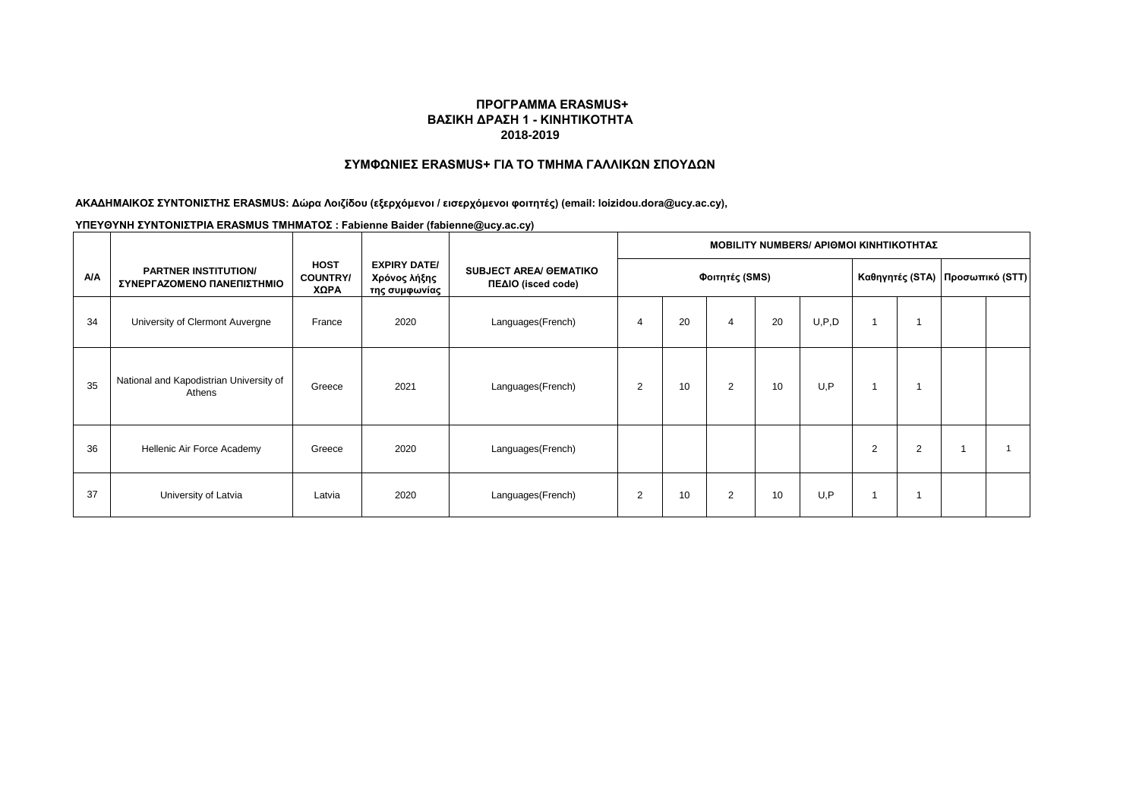# **ΣΥΜΦΩΝΙΕΣ ERASMUS+ ΓΙΑ ΤΟ ΤΜΗΜΑ ΓΑΛΛΙΚΩΝ ΣΠΟΥΔΩΝ**

**ΑΚΑΔΗΜΑΙΚΟΣ ΣΥΝΤΟΝΙΣΤΗΣ ERASMUS: Δώρα Λοιζίδου (εξερχόμενοι / εισερχόμενοι φοιτητές) (email: loizidou.dora@ucy.ac.cy),** 

|            |                                                           |                                        |                                                      |                                                     | MOBILITY NUMBERS/ ΑΡΙΘΜΟΙ ΚΙΝΗΤΙΚΟΤΗΤΑΣ |    |   |    |         |                         |                |                                   |  |  |  |
|------------|-----------------------------------------------------------|----------------------------------------|------------------------------------------------------|-----------------------------------------------------|-----------------------------------------|----|---|----|---------|-------------------------|----------------|-----------------------------------|--|--|--|
| <b>A/A</b> | <b>PARTNER INSTITUTION/</b><br>ΣΥΝΕΡΓΑΖΟΜΕΝΟ ΠΑΝΕΠΙΣΤΗΜΙΟ | <b>HOST</b><br><b>COUNTRY/</b><br>ΧΩΡΑ | <b>EXPIRY DATE/</b><br>Χρόνος λήξης<br>της συμφωνίας | <b>SUBJECT AREA/ OEMATIKO</b><br>ΠΕΔΙΟ (isced code) | Φοιτητές (SMS)                          |    |   |    |         |                         |                | Καθηγητές (STA)   Προσωπικό (STT) |  |  |  |
| 34         | University of Clermont Auvergne                           | France                                 | 2020                                                 | Languages(French)                                   | 4                                       | 20 | 4 | 20 | U, P, D | $\overline{\mathbf{1}}$ |                |                                   |  |  |  |
| 35         | National and Kapodistrian University of<br>Athens         | Greece                                 | 2021                                                 | Languages(French)                                   | 2                                       | 10 | 2 | 10 | U.P     | $\overline{1}$          |                |                                   |  |  |  |
| 36         | Hellenic Air Force Academy                                | Greece                                 | 2020                                                 | Languages(French)                                   |                                         |    |   |    |         | $\overline{2}$          | $\overline{2}$ |                                   |  |  |  |
| 37         | University of Latvia                                      | Latvia                                 | 2020                                                 | Languages(French)                                   | $\overline{2}$                          | 10 | 2 | 10 | U,P     |                         |                |                                   |  |  |  |